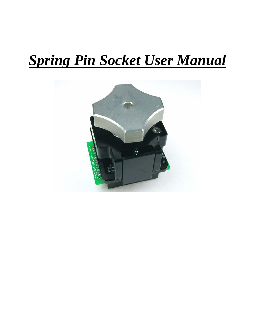# *Spring Pin Socket User Manual*

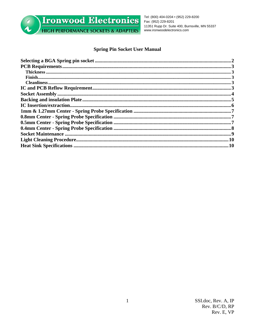

Ironwood Electronics **HIGH PERFORMANCE SOCKETS & ADAPTERS** 

Tel: (800) 404-0204 • (952) 229-8200 Fax: (952) 229-8201 11351 Rupp Dr. Suite 400, Burnsville, MN 55337 www.ironwoodelectronics.com

# **Spring Pin Socket User Manual**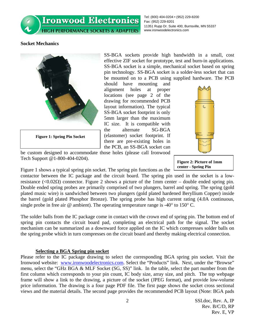**Ironwood Electronics HIGH PERFORMANCE SOCKETS & ADAPTERS** 

Tel: (800) 404-0204 • (952) 229-8200 Fax: (952) 229-8201 11351 Rupp Dr. Suite 400, Burnsville, MN 55337 www.ironwoodelectronics.com

## **Socket Mechanics**



**Figure 1: Spring Pin Socket** 

SS-BGA sockets provide high bandwidth in a small, cost effective ZIF socket for prototype, test and burn-in applications. SS-BGA socket is a simple, mechanical socket based on spring pin technology. SS-BGA socket is a solder-less socket that can be mounted on to a PCB using supplied hardware. The PCB

should have mounting and alignment holes at proper locations (see page 2 of the drawing for recommended PCB layout information). The typical SS-BGA socket footprint is only 5mm larger than the maximum IC size. It is compatible with the alternate SG-BGA (elastomer) socket footprint. If there are pre-existing holes in the PCB, an SS-BGA socket can



be custom designed to accommodate those holes (please call Ironwood Tech Support @1-800-404-0204).

**Figure 2: Picture of 1mm center - Spring Pin**

Figure 1 shows a typical spring pin socket. The spring pin functions as the

contactor between the IC package and the circuit board. The spring pin used in the socket is a lowresistance ( $\langle 0.02\Omega \rangle$ ) connector. Figure 2 shows a picture of the 1mm center – double ended spring pin. Double ended spring probes are primarily comprised of two plungers, barrel and spring. The spring (gold plated music wire) is sandwiched between two plungers (gold plated hardened Beryllium Copper) inside the barrel (gold plated Phosphor Bronze). The spring probe has high current rating (4.0A continuous, single probe in free air  $\omega$  ambient). The operating temperature range is -40 $\degree$  to 150 $\degree$  C.

The solder balls from the IC package come in contact with the crown end of spring pin. The bottom end of spring pin contacts the circuit board pad, completing an electrical path for the signal. The socket mechanism can be summarized as a downward force applied on the IC which compresses solder balls on the spring probe which in turn compresses on the circuit board and thereby making electrical connection.

### **Selecting a BGA Spring pin socket**

Please refer to the IC package drawing to select the corresponding BGA spring pin socket. Visit the Ironwood website: www.ironwoodelectronics.com. Select the "Products" link. Next, under the "Browse" menu, select the "GHz BGA & MLF Socket (SG, SS)" link. In the table, select the part number from the first column which corresponds to your pin count, IC body size, array size, and pitch. The top webpage frame will show a link to the drawing, a picture of the socket (JPEG format), and provide low-volume price information. The drawing is a four page PDF file. The first page shows the socket cross sectional views and the material details. The second page provides the recommended PCB layout (Note: BGA pads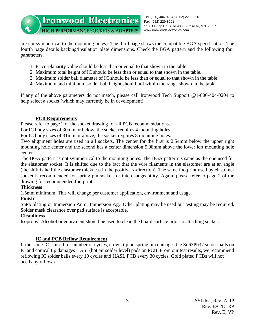are not symmetrical to the mounting holes). The third page shows the compatible BGA specification. The fourth page details backing/insulation plate dimensions. Check the BGA pattern and the following four parameters.

- 1. IC co-planarity value should be less than or equal to that shown in the table.
- 2. Maximum total height of IC should be less than or equal to that shown in the table.
- 3. Maximum solder ball diameter of IC should be less than or equal to that shown in the table.
- 4. Maximum and minimum solder ball height should fall within the range shown in the table.

If any of the above parameters do not match, please call Ironwood Tech Support @1-800-404-0204 to help select a socket (which may currently be in development).

# **PCB Requirements**

Please refer to page 2 of the socket drawing for all PCB recommendations.

For IC body sizes of 30mm or below, the socket requires 4 mounting holes.

For IC body sizes of 31mm or above, the socket requires 8 mounting holes.

Two alignment holes are used in all sockets. The center for the first is 2.54mm below the upper right mounting hole center and the second has a center dimension 5.08mm above the lower left mounting hole center.

The BGA pattern is not symmetrical to the mounting holes. The BGA pattern is same as the one used for the elastomer socket. It is shifted due to the fact that the wire filaments in the elastomer are at an angle (the shift is half the elastomer thickness in the positive x-direction). The same footprint used by elastomer socket is recommended for spring pin socket for interchangeability. Again, please refer to page 2 of the drawing for recommended footprint.

### **Thickness**

1.5mm minimum. This will change per customer application, environment and usage.

# **Finish**

SnPb plating or Immersion Au or Immersion Ag. Other plating may be used but testing may be required. Solder mask clearance over pad surface is acceptable.

# **Cleanliness**

Isopropyl Alcohol or equivalent should be used to clean the board surface prior to attaching socket.

# **IC and PCB Reflow Requirement**

If the same IC is used for number of cycles, crown tip on spring pin damages the Sn63Pb37 solder balls on IC and conical tip damages HASL(hot air solder level) pads on PCB. From our test results, we recommend reflowing IC solder balls every 10 cycles and HASL PCB every 30 cycles. Gold plated PCBs will not need any reflows.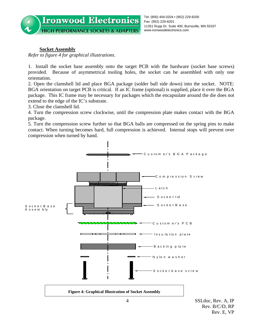

### **Socket Assembly**

*Refer to figure 4 for graphical illustrations*.

1. Install the socket base assembly onto the target PCB with the hardware (socket base screws) provided. Because of asymmetrical tooling holes, the socket can be assembled with only one orientation.

2. Open the clamshell lid and place BGA package (solder ball side down) into the socket. NOTE: BGA orientation on target PCB is critical. If an IC frame (optional) is supplied, place it over the BGA package. This IC frame may be necessary for packages which the encapsulate around the die does not extend to the edge of the IC's substrate.

3. Close the clamshell lid.

4. Turn the compression screw clockwise, until the compression plate makes contact with the BGA package.

5. Turn the compression screw further so that BGA balls are compressed on the spring pins to make contact. When turning becomes hard, full compression is achieved. Internal stops will prevent over compression when turned by hand.

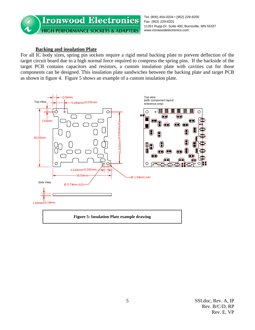

#### **Backing and insulation Plate**

For all IC body sizes, spring pin sockets require a rigid metal backing plate to prevent deflection of the target circuit board due to a high normal force required to compress the spring pins. If the backside of the target PCB contains capacitors and resistors, a custom insulation plate with cavities cut for those components can be designed. This insulation plate sandwiches between the backing plate and target PCB as shown in figure 4. Figure 5 shows an example of a custom insulation plate.

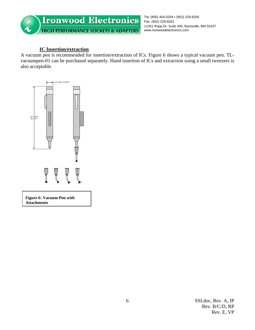

# **IC Insertion/extraction**

A vacuum pen is recommended for insertion/extraction of ICs. Figure 6 shows a typical vacuum pen. TLvacuumpen-01 can be purchased separately. Hand insertion of ICs and extraction using a small tweezers is also acceptable.

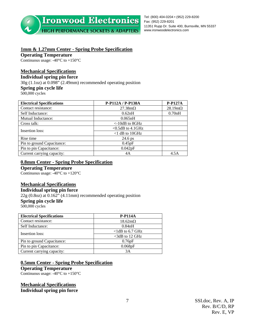

Tel: (800) 404-0204 • (952) 229-8200 Fax: (952) 229-8201 11351 Rupp Dr. Suite 400, Burnsville, MN 55337 www.ironwoodelectronics.com

# **1mm & 1.27mm Center - Spring Probe Specification**

**Operating Temperature** 

Continuous usage:  $-40^{\circ}$ C to  $+150^{\circ}$ C

#### **Mechanical Specifications**

#### **Individual spring pin force**

30g (1.1oz) at 0.098" (2.49mm) recommended operating position **Spring pin cycle life**  500,000 cycles

| <b>Electrical Specifications</b> | P-P112A / P-P138A      | <b>P-P127A</b>         |
|----------------------------------|------------------------|------------------------|
| Contact resistance:              | $27.38 \text{m}\Omega$ | $28.19 \text{m}\Omega$ |
| Self Inductance:                 | 0.62nH                 | 0.70nH                 |
| Mutual Inductance:               | 0.065nH                |                        |
| Cross talk:                      | $\leq$ -10dB to 8GHz   |                        |
| Insertion loss:                  | $< 0.5$ dB to 4.1GHz   |                        |
|                                  | $<$ 1 dB to 10GHz      |                        |
| Rise time                        | 24.6 ps                |                        |
| Pin to ground Capacitance:       | 0.45pF                 |                        |
| Pin to pin Capacitance:          | 0.042pF                |                        |
| Current carrying capacity:       | 4A                     | 4.5A                   |

#### **0.8mm Center - Spring Probe Specification**

#### **Operating Temperature**

Continuous usage: -40°C to +120°C

#### **Mechanical Specifications**

#### **Individual spring pin force**

 $22g (0.8oz)$  at  $0.162^{\frac{1}{2}}$  (4.11mm) recommended operating position **Spring pin cycle life**  500,000 cycles

| <b>Electrical Specifications</b> | <b>P-P114A</b>         |
|----------------------------------|------------------------|
| Contact resistance:              | $18.62 \text{m}\Omega$ |
| Self Inductance:                 | 0.84nH                 |
| Insertion loss:                  | $<$ ldB to 6.7 GHz     |
|                                  | $<$ 3dB to 12 GHz      |
| Pin to ground Capacitance:       | 0.76pF                 |
| Pin to pin Capacitance:          | 0.068pF                |
| Current carrying capacity:       | 3A                     |

#### **0.5mm Center - Spring Probe Specification**

**Operating Temperature** 

Continuous usage:  $-40^{\circ}$ C to  $+150^{\circ}$ C

**Mechanical Specifications Individual spring pin force**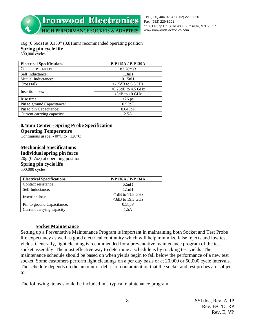**Ironwood Electronics** 

Tel: (800) 404-0204 • (952) 229-8200 Fax: (952) 229-8201 11351 Rupp Dr. Suite 400, Burnsville, MN 55337 www.ironwoodelectronics.com

**HIGH PERFORMANCE SOCKETS & ADAPTERS** 

# 16g (0.56oz) at 0.150" (3.81mm) recommended operating position **Spring pin cycle life**

500,000 cycles

| <b>Electrical Specifications</b> | P-P115A / P-P139A          |
|----------------------------------|----------------------------|
| Contact resistance:              | $82.28 \text{m}\Omega$     |
| Self Inductance:                 | 1.3nH                      |
| Mutual Inductance:               | 0.15nH                     |
| Cross talk:                      | $\epsilon$ -15dB to 6.5GHz |
| <b>Insertion loss:</b>           | $\leq 0.25$ dB to 4.5 GHz  |
|                                  | $<$ 3dB to 10 GHz          |
| Rise time                        | $<$ 26 ps                  |
| Pin to ground Capacitance:       | 0.53pF                     |
| Pin to pin Capacitance:          | 0.045pF                    |
| Current carrying capacity:       | 2.5A                       |

#### **0.4mm Center - Spring Probe Specification**

#### **Operating Temperature**

Continuous usage: -40°C to +120°C

#### **Mechanical Specifications**

#### **Individual spring pin force**

20g (0.7oz) at operating position

**Spring pin cycle life**  500,000 cycles

| <b>Electrical Specifications</b> | <b>P-P136A / P-P134A</b> |
|----------------------------------|--------------------------|
| Contact resistance:              | $62m\Omega$              |
| Self Inductance:                 | 1.1nH                    |
|                                  | $\leq 1$ dB to 11.5 GHz  |
| Insertion loss:                  | $\leq$ 3dB to 19.3 GHz   |
| Pin to ground Capacitance:       | 0.58pF                   |
| Current carrying capacity:       | 1 5 A                    |

#### **Socket Maintenance**

Setting up a Preventative Maintenance Program is important in maintaining both Socket and Test Probe life expectancy as well as good electrical continuity which will help minimize false rejects and low test yields. Generally, light cleaning is recommended for a preventative maintenance program of the test socket assembly. The most effective way to determine a schedule is by tracking test yields. The maintenance schedule should be based on when yields begin to fall below the performance of a new test socket. Some customers perform light cleanings on a per day basis or at 20,000 or 50,000 cycle intervals. The schedule depends on the amount of debris or contamination that the socket and test probes are subject to.

The following items should be included in a typical maintenance program.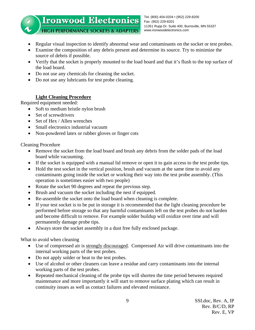#### Tel: (800) 404-0204 • (952) 229-8200 **Ironwood Electronics** Fax: (952) 229-8201 11351 Rupp Dr. Suite 400, Burnsville, MN 55337 **HIGH PERFORMANCE SOCKETS & ADAPTERS** www.ironwoodelectronics.com

• Regular visual inspection to identify abnormal wear and contaminants on the socket or test probes.

- Examine the composition of any debris present and determine its source. Try to minimize the source of debris if possible.
- Verify that the socket is properly mounted to the load board and that it's flush to the top surface of the load board.
- Do not use any chemicals for cleaning the socket.
- Do not use any lubricants for test probe cleaning.

# **Light Cleaning Procedure**

Required equipment needed:

- Soft to medium bristle nylon brush
- Set of screwdrivers
- Set of Hex / Allen wrenches
- Small electronics industrial vacuum
- Non-powdered latex or rubber gloves or finger cots

Cleaning Procedure

- Remove the socket from the load board and brush any debris from the solder pads of the load board while vacuuming.
- If the socket is equipped with a manual lid remove or open it to gain access to the test probe tips.
- Hold the test socket in the vertical position, brush and vacuum at the same time to avoid any contaminants going inside the socket or working their way into the test probe assembly. (This operation is sometimes easier with two people)
- Rotate the socket 90 degrees and repeat the previous step.
- Brush and vacuum the socket including the nest if equipped.
- Re-assemble the socket onto the load board when cleaning is complete.
- If your test socket is to be put in storage it is recommended that the light cleaning procedure be performed before storage so that any harmful contaminants left on the test probes do not harden and become difficult to remove. For example solder buildup will oxidize over time and will permanently damage probe tips.
- Always store the socket assembly in a dust free fully enclosed package.

What to avoid when cleaning

- Use of compressed air is strongly discouraged. Compressed Air will drive contaminants into the internal working parts of the test probes.
- Do not apply solder or heat to the test probes.
- Use of alcohol or other cleaners can leave a residue and carry contaminants into the internal working parts of the test probes.
- Repeated mechanical cleaning of the probe tips will shorten the time period between required maintenance and more importantly it will start to remove surface plating which can result in continuity issues as well as contact failures and elevated resistance.